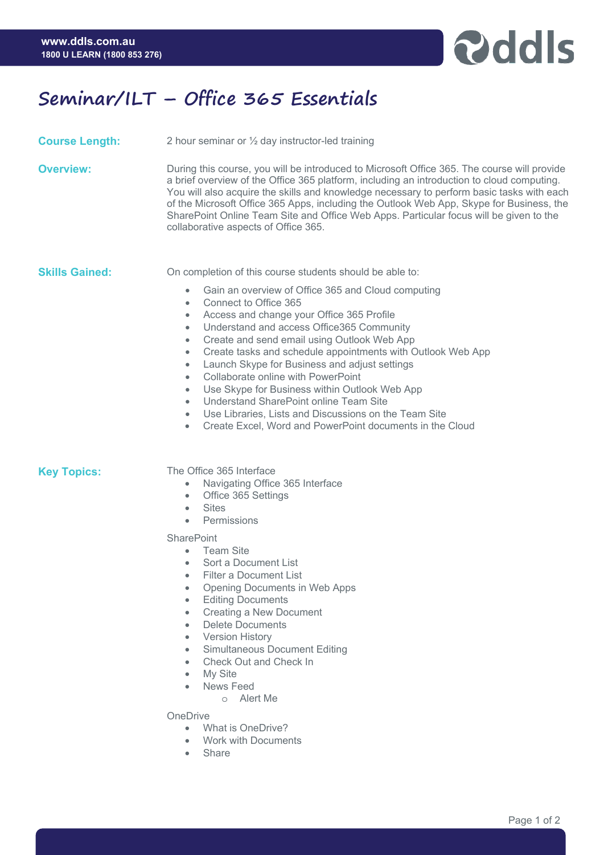

## **Seminar/ILT – Office 365 Essentials**

| <b>Course Length:</b> | 2 hour seminar or 1/2 day instructor-led training                                                                                                                                                                                                                                                                                                                                                                                                                                                                                                                                                                                                                                                                                                                        |
|-----------------------|--------------------------------------------------------------------------------------------------------------------------------------------------------------------------------------------------------------------------------------------------------------------------------------------------------------------------------------------------------------------------------------------------------------------------------------------------------------------------------------------------------------------------------------------------------------------------------------------------------------------------------------------------------------------------------------------------------------------------------------------------------------------------|
| <b>Overview:</b>      | During this course, you will be introduced to Microsoft Office 365. The course will provide<br>a brief overview of the Office 365 platform, including an introduction to cloud computing.<br>You will also acquire the skills and knowledge necessary to perform basic tasks with each<br>of the Microsoft Office 365 Apps, including the Outlook Web App, Skype for Business, the<br>SharePoint Online Team Site and Office Web Apps. Particular focus will be given to the<br>collaborative aspects of Office 365.                                                                                                                                                                                                                                                     |
| <b>Skills Gained:</b> | On completion of this course students should be able to:<br>Gain an overview of Office 365 and Cloud computing<br>$\bullet$<br>Connect to Office 365<br>$\bullet$<br>Access and change your Office 365 Profile<br>$\bullet$<br>Understand and access Office365 Community<br>Create and send email using Outlook Web App<br>$\bullet$<br>Create tasks and schedule appointments with Outlook Web App<br>$\bullet$<br>Launch Skype for Business and adjust settings<br>$\bullet$<br>Collaborate online with PowerPoint<br>٠<br>Use Skype for Business within Outlook Web App<br>۰<br>Understand SharePoint online Team Site<br>$\bullet$<br>Use Libraries, Lists and Discussions on the Team Site<br>Create Excel, Word and PowerPoint documents in the Cloud<br>$\bullet$ |
| <b>Key Topics:</b>    | The Office 365 Interface<br>Navigating Office 365 Interface<br>$\bullet$<br>Office 365 Settings<br>$\bullet$<br><b>Sites</b><br>$\bullet$<br>Permissions<br>$\bullet$<br><b>SharePoint</b><br><b>Team Site</b><br>$\bullet$<br>Sort a Document List<br><b>Filter a Document List</b><br>$\bullet$<br>Opening Documents in Web Apps<br>$\bullet$<br><b>Editing Documents</b><br>$\bullet$<br><b>Creating a New Document</b><br>$\bullet$<br><b>Delete Documents</b><br><b>Version History</b><br>$\bullet$<br>Simultaneous Document Editing                                                                                                                                                                                                                               |

- Simultaneous Document Editing • Check Out and Check In
- My Site
- 
- News Feed
	- o Alert Me

**OneDrive** 

- What is OneDrive?
- Work with Documents
- Share